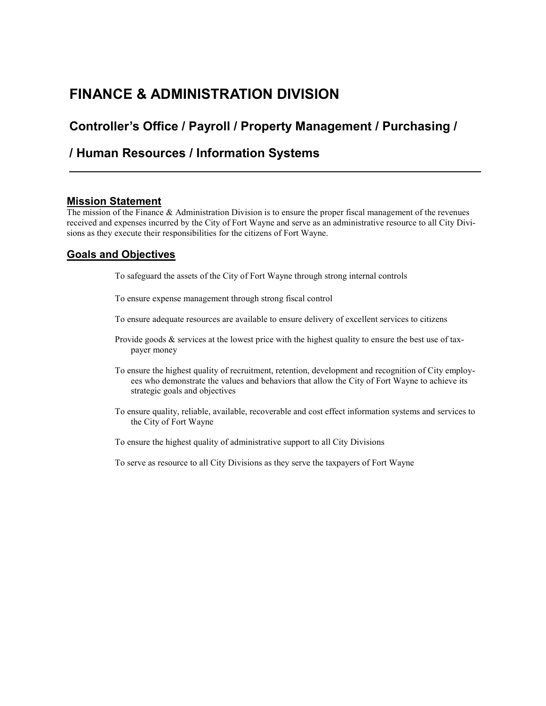# **FINANCE & ADMINISTRATION DIVISION**

## **Controller's Office / Payroll / Property Management / Purchasing /**

## **/ Human Resources / Information Systems**

## **Mission Statement**

The mission of the Finance & Administration Division is to ensure the proper fiscal management of the revenues received and expenses incurred by the City of Fort Wayne and serve as an administrative resource to all City Divisions as they execute their responsibilities for the citizens of Fort Wayne.

## **Goals and Objectives**

To safeguard the assets of the City of Fort Wayne through strong internal controls

To ensure expense management through strong fiscal control

To ensure adequate resources are available to ensure delivery of excellent services to citizens

- Provide goods  $\&$  services at the lowest price with the highest quality to ensure the best use of taxpayer money
- To ensure the highest quality of recruitment, retention, development and recognition of City employees who demonstrate the values and behaviors that allow the City of Fort Wayne to achieve its strategic goals and objectives
- To ensure quality, reliable, available, recoverable and cost effect information systems and services to the City of Fort Wayne

To ensure the highest quality of administrative support to all City Divisions

To serve as resource to all City Divisions as they serve the taxpayers of Fort Wayne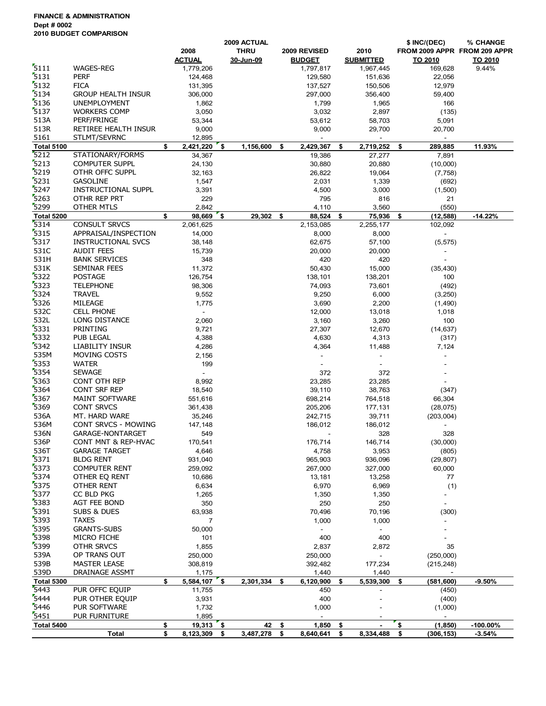**FINANCE & ADMINISTRATION Dept # 0002 2010 BUDGET COMPARISON**

|                           |                              | 2009 ACTUAL              |            |             |    |                                      |    |                    | \$ INC/(DEC)                                 | % CHANGE                     |
|---------------------------|------------------------------|--------------------------|------------|-------------|----|--------------------------------------|----|--------------------|----------------------------------------------|------------------------------|
|                           |                              | 2008                     |            | <b>THRU</b> |    | 2009 REVISED                         |    | 2010               |                                              | FROM 2009 APPR FROM 209 APPR |
|                           |                              | <b>ACTUAL</b>            |            | 30-Jun-09   |    | <b>BUDGET</b>                        |    | <b>SUBMITTED</b>   | TO 2010                                      | TO 2010                      |
| 5111                      | WAGES-REG                    | 1,779,206                |            |             |    | 1,797,817                            |    | 1,967,445          | 169,628                                      | 9.44%                        |
| 5131                      | <b>PERF</b>                  | 124,468                  |            |             |    | 129,580                              |    | 151,636            | 22,056                                       |                              |
| 5132                      | <b>FICA</b>                  | 131,395                  |            |             |    | 137,527                              |    | 150,506            | 12,979                                       |                              |
| 5134                      | <b>GROUP HEALTH INSUR</b>    | 306,000                  |            |             |    | 297,000                              |    | 356,400            | 59,400                                       |                              |
| 5136                      | <b>UNEMPLOYMENT</b>          | 1,862                    |            |             |    | 1,799                                |    | 1,965              | 166                                          |                              |
| 5137                      | <b>WORKERS COMP</b>          | 3,050                    |            |             |    | 3,032                                |    | 2,897              | (135)                                        |                              |
| 513A                      | PERF/FRINGE                  | 53,344                   |            |             |    | 53,612                               |    | 58,703             | 5,091                                        |                              |
| 513R                      | RETIREE HEALTH INSUR         | 9,000                    |            |             |    | 9,000                                |    | 29,700             | 20,700                                       |                              |
| 5161                      | STLMT/SEVRNC                 | 12,895                   |            |             |    |                                      |    |                    |                                              |                              |
| <b>Total 5100</b>         |                              | \$<br>$2,421,220$ \$     |            | 1,156,600   | \$ | 2,429,367                            | \$ | 2,719,252          | \$<br>289,885                                | 11.93%                       |
| 5212                      | STATIONARY/FORMS             | 34,367                   |            |             |    | 19,386                               |    | 27,277             | 7,891                                        |                              |
| 5213                      | <b>COMPUTER SUPPL</b>        | 24,130                   |            |             |    | 30,880                               |    | 20,880             | (10,000)                                     |                              |
| 5219                      | OTHR OFFC SUPPL              | 32,163                   |            |             |    | 26,822                               |    | 19,064             | (7, 758)                                     |                              |
| 5231                      | <b>GASOLINE</b>              | 1,547                    |            |             |    | 2,031                                |    | 1,339              | (692)                                        |                              |
| 5247                      | <b>INSTRUCTIONAL SUPPL</b>   | 3,391                    |            |             |    | 4,500                                |    | 3,000              | (1,500)                                      |                              |
| 5263                      | OTHR REP PRT                 | 229                      |            |             |    | 795                                  |    | 816                | 21                                           |                              |
| 5299                      | OTHER MTLS                   | 2,842                    |            |             |    | 4,110                                |    | 3,560              | (550)                                        |                              |
| Total 5200                |                              | \$<br>98,669             | <u>່\$</u> | 29,302      | \$ | 88,524                               | \$ | 75,936             | \$<br>(12, 588)                              | $-14.22%$                    |
| 5314                      | <b>CONSULT SRVCS</b>         | 2,061,625                |            |             |    | 2,153,085                            |    | 2,255,177          | 102,092                                      |                              |
| 5315                      | APPRAISAL/INSPECTION         | 14,000                   |            |             |    | 8,000                                |    | 8,000              | $\blacksquare$                               |                              |
| 5317                      | INSTRUCTIONAL SVCS           | 38,148                   |            |             |    | 62,675                               |    | 57,100             | (5, 575)                                     |                              |
| 531C                      | <b>AUDIT FEES</b>            | 15,739                   |            |             |    | 20,000                               |    | 20,000             |                                              |                              |
| 531H                      | <b>BANK SERVICES</b>         | 348                      |            |             |    | 420                                  |    | 420                |                                              |                              |
| 531K                      | SEMINAR FEES                 | 11,372                   |            |             |    | 50,430                               |    | 15,000             | (35, 430)                                    |                              |
| 5322                      | <b>POSTAGE</b>               | 126,754                  |            |             |    | 138,101                              |    | 138,201            | 100                                          |                              |
| 5323                      | <b>TELEPHONE</b>             | 98,306                   |            |             |    | 74,093                               |    | 73,601             | (492)                                        |                              |
| 5324                      | <b>TRAVEL</b>                | 9,552                    |            |             |    | 9,250                                |    | 6,000              | (3,250)                                      |                              |
| 5326                      | MILEAGE                      | 1,775                    |            |             |    | 3,690                                |    | 2,200              | (1,490)                                      |                              |
| 532C                      | <b>CELL PHONE</b>            | $\sim$                   |            |             |    | 12,000                               |    | 13,018             | 1,018                                        |                              |
| 532L<br>5331              | LONG DISTANCE                | 2,060                    |            |             |    | 3,160                                |    | 3,260              | 100                                          |                              |
| 5332                      | PRINTING                     | 9,721                    |            |             |    | 27,307                               |    | 12,670             | (14, 637)                                    |                              |
| 5342                      | PUB LEGAL<br>LIABILITY INSUR | 4,388                    |            |             |    | 4,630                                |    | 4,313              | (317)                                        |                              |
| 535M                      | MOVING COSTS                 | 4,286<br>2,156           |            |             |    | 4,364<br>$\mathcal{L}_{\mathcal{A}}$ |    | 11,488             | 7,124                                        |                              |
| 5353                      | <b>WATER</b>                 | 199                      |            |             |    | $\sim$                               |    |                    |                                              |                              |
| 5354                      | <b>SEWAGE</b>                | $\mathbf{r}$             |            |             |    | 372                                  |    | 372                |                                              |                              |
| 5363                      | CONT OTH REP                 | 8,992                    |            |             |    | 23,285                               |    | 23,285             |                                              |                              |
| 5364                      | <b>CONT SRF REP</b>          | 18,540                   |            |             |    | 39,110                               |    | 38,763             | (347)                                        |                              |
| 5367                      | MAINT SOFTWARE               | 551,616                  |            |             |    | 698,214                              |    | 764,518            | 66,304                                       |                              |
| 5369                      | <b>CONT SRVCS</b>            | 361,438                  |            |             |    | 205,206                              |    | 177,131            | (28,075)                                     |                              |
| 536A                      | MT. HARD WARE                | 35,246                   |            |             |    | 242,715                              |    | 39,711             | (203,004)                                    |                              |
| 536M                      | CONT SRVCS - MOWING          | 147,148                  |            |             |    | 186,012                              |    | 186,012            | $\overline{\phantom{a}}$                     |                              |
| 536N                      | GARAGE-NONTARGET             | 549                      |            |             |    |                                      |    | 328                | 328                                          |                              |
| 536P                      | CONT MNT & REP-HVAC          | 170,541                  |            |             |    | 176,714                              |    | 146,714            | (30,000)                                     |                              |
| 536T                      | <b>GARAGE TARGET</b>         | 4,646                    |            |             |    | 4,758                                |    | 3,953              | (805)                                        |                              |
| 5371                      | <b>BLDG RENT</b>             | 931,040                  |            |             |    | 965,903                              |    | 936,096            | (29, 807)                                    |                              |
| 5373                      | <b>COMPUTER RENT</b>         | 259,092                  |            |             |    | 267,000                              |    | 327,000            | 60,000                                       |                              |
| 5374                      | OTHER EQ RENT                | 10,686                   |            |             |    | 13,181                               |    | 13,258             | 77                                           |                              |
| 5375                      | <b>OTHER RENT</b>            | 6,634                    |            |             |    | 6,970                                |    | 6,969              | (1)                                          |                              |
| 5377                      | CC BLD PKG                   | 1,265                    |            |             |    | 1,350                                |    | 1,350              | $\overline{\phantom{a}}$                     |                              |
| 5383                      | <b>AGT FEE BOND</b>          | 350                      |            |             |    | 250                                  |    | 250                | $\overline{\phantom{m}}$                     |                              |
| 5391                      | SUBS & DUES                  | 63,938                   |            |             |    | 70,496                               |    | 70,196             | (300)                                        |                              |
| 5393                      | <b>TAXES</b>                 | 7                        |            |             |    | 1,000                                |    | 1,000              |                                              |                              |
| 5395                      | <b>GRANTS-SUBS</b>           | 50,000                   |            |             |    |                                      |    |                    |                                              |                              |
| 5398                      | MICRO FICHE                  | 101                      |            |             |    | 400                                  |    | 400                |                                              |                              |
| 5399                      | OTHR SRVCS                   | 1,855                    |            |             |    | 2,837                                |    | 2,872              | 35                                           |                              |
| 539A                      | OP TRANS OUT                 | 250,000                  |            |             |    | 250,000                              |    | $\overline{a}$     | (250,000)                                    |                              |
| 539B                      | MASTER LEASE                 | 308,819                  |            |             |    | 392,482                              |    | 177,234            | (215, 248)                                   |                              |
| 539D<br><b>Total 5300</b> | DRAINAGE ASSMT               | \$<br>1,175<br>5,584,107 | ້\$        | 2,301,334   | \$ | 1,440<br>6,120,900                   | \$ | 1,440<br>5,539,300 | \$<br>$\overline{\phantom{a}}$<br>(581, 600) | $-9.50%$                     |
| $\sqrt{5443}$             | PUR OFFC EQUIP               | 11,755                   |            |             |    | 450                                  |    |                    | (450)                                        |                              |
| 5444                      | PUR OTHER EQUIP              | 3,931                    |            |             |    | 400                                  |    |                    | (400)                                        |                              |
| 5446                      | PUR SOFTWARE                 | 1,732                    |            |             |    | 1,000                                |    |                    | (1,000)                                      |                              |
| 5451                      | PUR FURNITURE                | 1,895                    |            |             |    |                                      |    |                    |                                              |                              |
| Total 5400                |                              | \$<br>19,313             | ่ \$       | 42          | \$ | 1,850                                | \$ |                    | \$<br>(1, 850)                               | $-100.00\%$                  |
|                           | <b>Total</b>                 | \$<br>8,123,309          | \$         | 3,487,278   | \$ | 8,640,641                            | \$ | 8,334,488          | \$<br>(306, 153)                             | $-3.54%$                     |